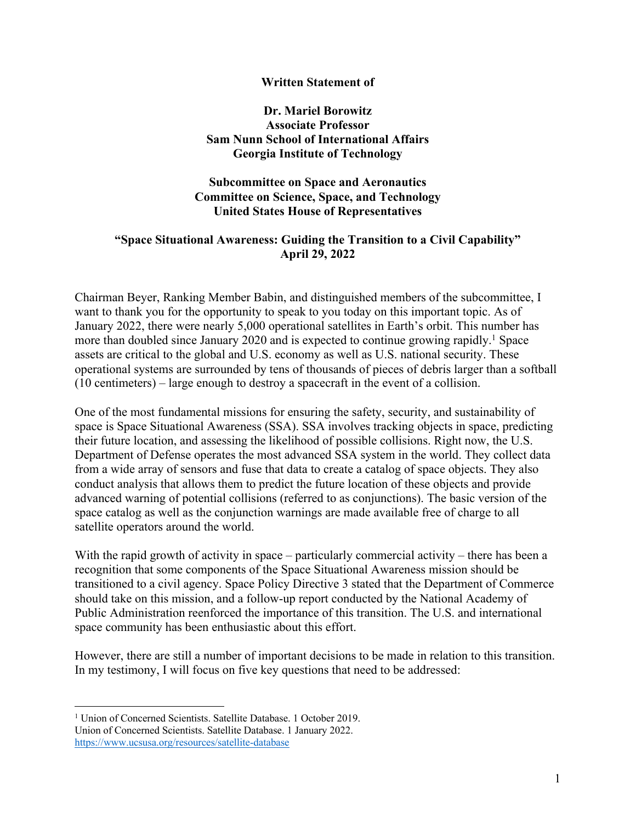#### **Written Statement of**

### **Dr. Mariel Borowitz Associate Professor Sam Nunn School of International Affairs Georgia Institute of Technology**

### **Subcommittee on Space and Aeronautics Committee on Science, Space, and Technology United States House of Representatives**

## **"Space Situational Awareness: Guiding the Transition to a Civil Capability" April 29, 2022**

Chairman Beyer, Ranking Member Babin, and distinguished members of the subcommittee, I want to thank you for the opportunity to speak to you today on this important topic. As of January 2022, there were nearly 5,000 operational satellites in Earth's orbit. This number has more than doubled since January 2020 and is expected to continue growing rapidly.<sup>1</sup> Space assets are critical to the global and U.S. economy as well as U.S. national security. These operational systems are surrounded by tens of thousands of pieces of debris larger than a softball (10 centimeters) – large enough to destroy a spacecraft in the event of a collision.

One of the most fundamental missions for ensuring the safety, security, and sustainability of space is Space Situational Awareness (SSA). SSA involves tracking objects in space, predicting their future location, and assessing the likelihood of possible collisions. Right now, the U.S. Department of Defense operates the most advanced SSA system in the world. They collect data from a wide array of sensors and fuse that data to create a catalog of space objects. They also conduct analysis that allows them to predict the future location of these objects and provide advanced warning of potential collisions (referred to as conjunctions). The basic version of the space catalog as well as the conjunction warnings are made available free of charge to all satellite operators around the world.

With the rapid growth of activity in space – particularly commercial activity – there has been a recognition that some components of the Space Situational Awareness mission should be transitioned to a civil agency. Space Policy Directive 3 stated that the Department of Commerce should take on this mission, and a follow-up report conducted by the National Academy of Public Administration reenforced the importance of this transition. The U.S. and international space community has been enthusiastic about this effort.

However, there are still a number of important decisions to be made in relation to this transition. In my testimony, I will focus on five key questions that need to be addressed:

<sup>&</sup>lt;sup>1</sup> Union of Concerned Scientists. Satellite Database. 1 October 2019. Union of Concerned Scientists. Satellite Database. 1 January 2022. https://www.ucsusa.org/resources/satellite-database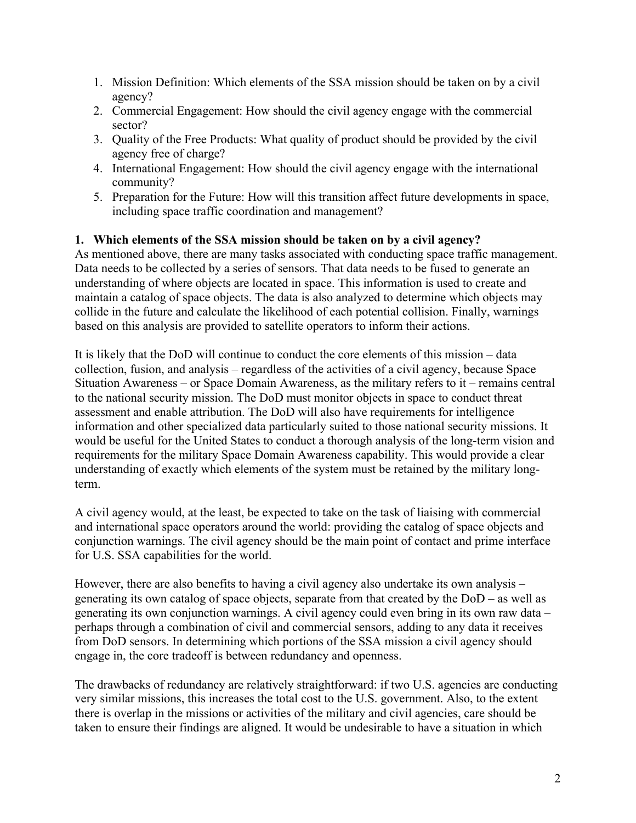- 1. Mission Definition: Which elements of the SSA mission should be taken on by a civil agency?
- 2. Commercial Engagement: How should the civil agency engage with the commercial sector?
- 3. Quality of the Free Products: What quality of product should be provided by the civil agency free of charge?
- 4. International Engagement: How should the civil agency engage with the international community?
- 5. Preparation for the Future: How will this transition affect future developments in space, including space traffic coordination and management?

# **1. Which elements of the SSA mission should be taken on by a civil agency?**

As mentioned above, there are many tasks associated with conducting space traffic management. Data needs to be collected by a series of sensors. That data needs to be fused to generate an understanding of where objects are located in space. This information is used to create and maintain a catalog of space objects. The data is also analyzed to determine which objects may collide in the future and calculate the likelihood of each potential collision. Finally, warnings based on this analysis are provided to satellite operators to inform their actions.

It is likely that the DoD will continue to conduct the core elements of this mission – data collection, fusion, and analysis – regardless of the activities of a civil agency, because Space Situation Awareness – or Space Domain Awareness, as the military refers to it – remains central to the national security mission. The DoD must monitor objects in space to conduct threat assessment and enable attribution. The DoD will also have requirements for intelligence information and other specialized data particularly suited to those national security missions. It would be useful for the United States to conduct a thorough analysis of the long-term vision and requirements for the military Space Domain Awareness capability. This would provide a clear understanding of exactly which elements of the system must be retained by the military longterm.

A civil agency would, at the least, be expected to take on the task of liaising with commercial and international space operators around the world: providing the catalog of space objects and conjunction warnings. The civil agency should be the main point of contact and prime interface for U.S. SSA capabilities for the world.

However, there are also benefits to having a civil agency also undertake its own analysis – generating its own catalog of space objects, separate from that created by the DoD – as well as generating its own conjunction warnings. A civil agency could even bring in its own raw data – perhaps through a combination of civil and commercial sensors, adding to any data it receives from DoD sensors. In determining which portions of the SSA mission a civil agency should engage in, the core tradeoff is between redundancy and openness.

The drawbacks of redundancy are relatively straightforward: if two U.S. agencies are conducting very similar missions, this increases the total cost to the U.S. government. Also, to the extent there is overlap in the missions or activities of the military and civil agencies, care should be taken to ensure their findings are aligned. It would be undesirable to have a situation in which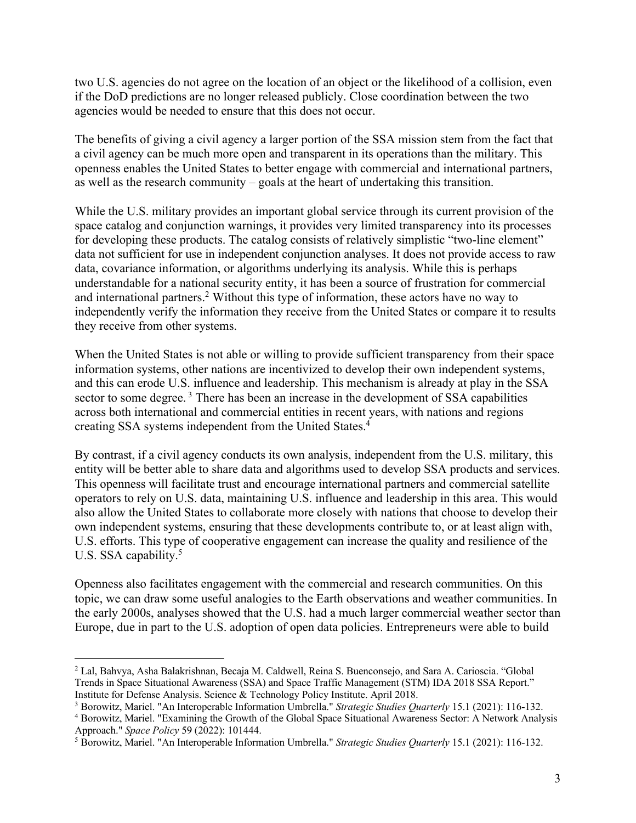two U.S. agencies do not agree on the location of an object or the likelihood of a collision, even if the DoD predictions are no longer released publicly. Close coordination between the two agencies would be needed to ensure that this does not occur.

The benefits of giving a civil agency a larger portion of the SSA mission stem from the fact that a civil agency can be much more open and transparent in its operations than the military. This openness enables the United States to better engage with commercial and international partners, as well as the research community – goals at the heart of undertaking this transition.

While the U.S. military provides an important global service through its current provision of the space catalog and conjunction warnings, it provides very limited transparency into its processes for developing these products. The catalog consists of relatively simplistic "two-line element" data not sufficient for use in independent conjunction analyses. It does not provide access to raw data, covariance information, or algorithms underlying its analysis. While this is perhaps understandable for a national security entity, it has been a source of frustration for commercial and international partners.<sup>2</sup> Without this type of information, these actors have no way to independently verify the information they receive from the United States or compare it to results they receive from other systems.

When the United States is not able or willing to provide sufficient transparency from their space information systems, other nations are incentivized to develop their own independent systems, and this can erode U.S. influence and leadership. This mechanism is already at play in the SSA sector to some degree.<sup>3</sup> There has been an increase in the development of SSA capabilities across both international and commercial entities in recent years, with nations and regions creating SSA systems independent from the United States. 4

By contrast, if a civil agency conducts its own analysis, independent from the U.S. military, this entity will be better able to share data and algorithms used to develop SSA products and services. This openness will facilitate trust and encourage international partners and commercial satellite operators to rely on U.S. data, maintaining U.S. influence and leadership in this area. This would also allow the United States to collaborate more closely with nations that choose to develop their own independent systems, ensuring that these developments contribute to, or at least align with, U.S. efforts. This type of cooperative engagement can increase the quality and resilience of the U.S. SSA capability.<sup>5</sup>

Openness also facilitates engagement with the commercial and research communities. On this topic, we can draw some useful analogies to the Earth observations and weather communities. In the early 2000s, analyses showed that the U.S. had a much larger commercial weather sector than Europe, due in part to the U.S. adoption of open data policies. Entrepreneurs were able to build

<sup>2</sup> Lal, Bahvya, Asha Balakrishnan, Becaja M. Caldwell, Reina S. Buenconsejo, and Sara A. Carioscia. "Global Trends in Space Situational Awareness (SSA) and Space Traffic Management (STM) IDA 2018 SSA Report." Institute for Defense Analysis. Science & Technology Policy Institute. April 2018.

<sup>3</sup> Borowitz, Mariel. "An Interoperable Information Umbrella." *Strategic Studies Quarterly* 15.1 (2021): 116-132.

<sup>4</sup> Borowitz, Mariel. "Examining the Growth of the Global Space Situational Awareness Sector: A Network Analysis Approach." *Space Policy* 59 (2022): 101444.

<sup>5</sup> Borowitz, Mariel. "An Interoperable Information Umbrella." *Strategic Studies Quarterly* 15.1 (2021): 116-132.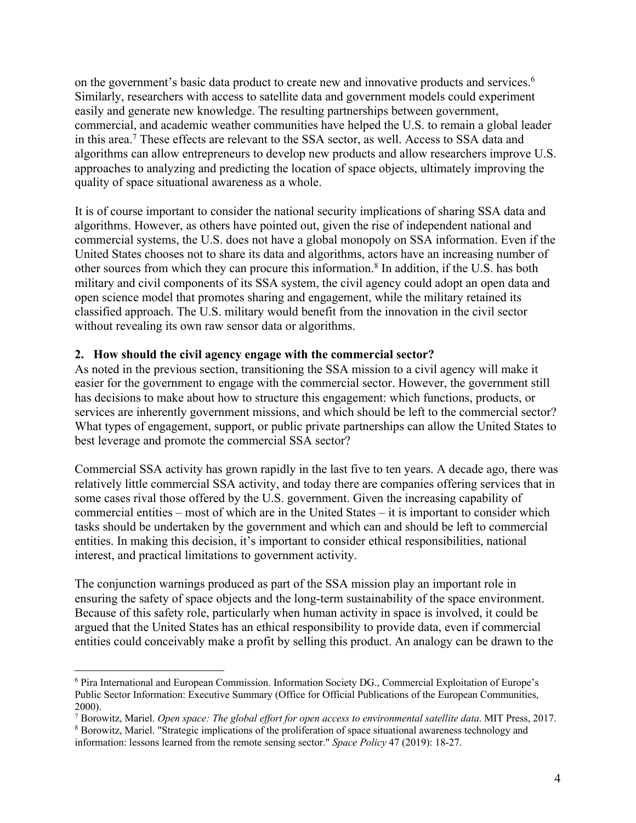on the government's basic data product to create new and innovative products and services.<sup>6</sup> Similarly, researchers with access to satellite data and government models could experiment easily and generate new knowledge. The resulting partnerships between government, commercial, and academic weather communities have helped the U.S. to remain a global leader in this area.<sup>7</sup> These effects are relevant to the SSA sector, as well. Access to SSA data and algorithms can allow entrepreneurs to develop new products and allow researchers improve U.S. approaches to analyzing and predicting the location of space objects, ultimately improving the quality of space situational awareness as a whole.

It is of course important to consider the national security implications of sharing SSA data and algorithms. However, as others have pointed out, given the rise of independent national and commercial systems, the U.S. does not have a global monopoly on SSA information. Even if the United States chooses not to share its data and algorithms, actors have an increasing number of other sources from which they can procure this information.<sup>8</sup> In addition, if the U.S. has both military and civil components of its SSA system, the civil agency could adopt an open data and open science model that promotes sharing and engagement, while the military retained its classified approach. The U.S. military would benefit from the innovation in the civil sector without revealing its own raw sensor data or algorithms.

### **2. How should the civil agency engage with the commercial sector?**

As noted in the previous section, transitioning the SSA mission to a civil agency will make it easier for the government to engage with the commercial sector. However, the government still has decisions to make about how to structure this engagement: which functions, products, or services are inherently government missions, and which should be left to the commercial sector? What types of engagement, support, or public private partnerships can allow the United States to best leverage and promote the commercial SSA sector?

Commercial SSA activity has grown rapidly in the last five to ten years. A decade ago, there was relatively little commercial SSA activity, and today there are companies offering services that in some cases rival those offered by the U.S. government. Given the increasing capability of commercial entities – most of which are in the United States – it is important to consider which tasks should be undertaken by the government and which can and should be left to commercial entities. In making this decision, it's important to consider ethical responsibilities, national interest, and practical limitations to government activity.

The conjunction warnings produced as part of the SSA mission play an important role in ensuring the safety of space objects and the long-term sustainability of the space environment. Because of this safety role, particularly when human activity in space is involved, it could be argued that the United States has an ethical responsibility to provide data, even if commercial entities could conceivably make a profit by selling this product. An analogy can be drawn to the

<sup>6</sup> Pira International and European Commission. Information Society DG., Commercial Exploitation of Europe's Public Sector Information: Executive Summary (Office for Official Publications of the European Communities, 2000).

<sup>7</sup> Borowitz, Mariel. *Open space: The global effort for open access to environmental satellite data*. MIT Press, 2017.

<sup>8</sup> Borowitz, Mariel. "Strategic implications of the proliferation of space situational awareness technology and information: lessons learned from the remote sensing sector." *Space Policy* 47 (2019): 18-27.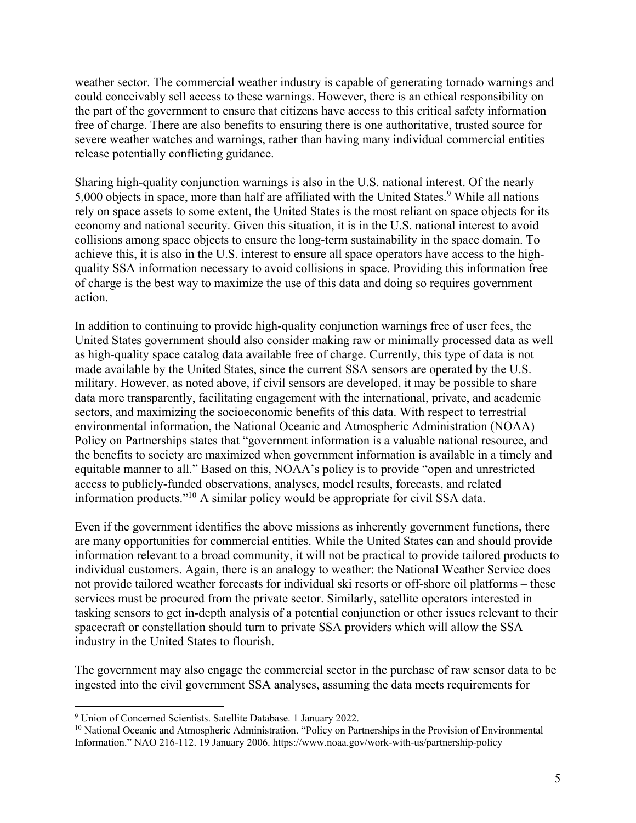weather sector. The commercial weather industry is capable of generating tornado warnings and could conceivably sell access to these warnings. However, there is an ethical responsibility on the part of the government to ensure that citizens have access to this critical safety information free of charge. There are also benefits to ensuring there is one authoritative, trusted source for severe weather watches and warnings, rather than having many individual commercial entities release potentially conflicting guidance.

Sharing high-quality conjunction warnings is also in the U.S. national interest. Of the nearly 5,000 objects in space, more than half are affiliated with the United States.<sup>9</sup> While all nations rely on space assets to some extent, the United States is the most reliant on space objects for its economy and national security. Given this situation, it is in the U.S. national interest to avoid collisions among space objects to ensure the long-term sustainability in the space domain. To achieve this, it is also in the U.S. interest to ensure all space operators have access to the highquality SSA information necessary to avoid collisions in space. Providing this information free of charge is the best way to maximize the use of this data and doing so requires government action.

In addition to continuing to provide high-quality conjunction warnings free of user fees, the United States government should also consider making raw or minimally processed data as well as high-quality space catalog data available free of charge. Currently, this type of data is not made available by the United States, since the current SSA sensors are operated by the U.S. military. However, as noted above, if civil sensors are developed, it may be possible to share data more transparently, facilitating engagement with the international, private, and academic sectors, and maximizing the socioeconomic benefits of this data. With respect to terrestrial environmental information, the National Oceanic and Atmospheric Administration (NOAA) Policy on Partnerships states that "government information is a valuable national resource, and the benefits to society are maximized when government information is available in a timely and equitable manner to all." Based on this, NOAA's policy is to provide "open and unrestricted access to publicly-funded observations, analyses, model results, forecasts, and related information products."10 A similar policy would be appropriate for civil SSA data.

Even if the government identifies the above missions as inherently government functions, there are many opportunities for commercial entities. While the United States can and should provide information relevant to a broad community, it will not be practical to provide tailored products to individual customers. Again, there is an analogy to weather: the National Weather Service does not provide tailored weather forecasts for individual ski resorts or off-shore oil platforms – these services must be procured from the private sector. Similarly, satellite operators interested in tasking sensors to get in-depth analysis of a potential conjunction or other issues relevant to their spacecraft or constellation should turn to private SSA providers which will allow the SSA industry in the United States to flourish.

The government may also engage the commercial sector in the purchase of raw sensor data to be ingested into the civil government SSA analyses, assuming the data meets requirements for

<sup>9</sup> Union of Concerned Scientists. Satellite Database. 1 January 2022.

<sup>&</sup>lt;sup>10</sup> National Oceanic and Atmospheric Administration. "Policy on Partnerships in the Provision of Environmental Information." NAO 216-112. 19 January 2006. https://www.noaa.gov/work-with-us/partnership-policy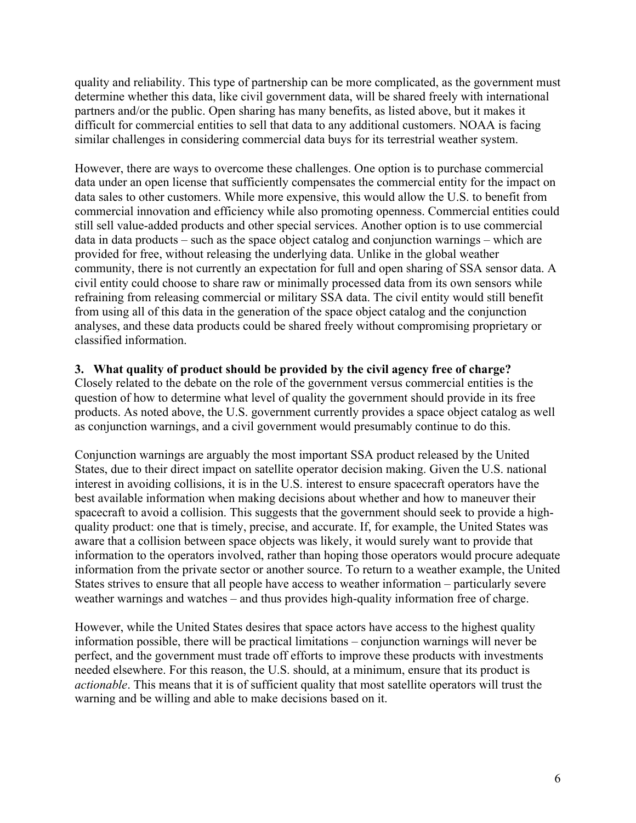quality and reliability. This type of partnership can be more complicated, as the government must determine whether this data, like civil government data, will be shared freely with international partners and/or the public. Open sharing has many benefits, as listed above, but it makes it difficult for commercial entities to sell that data to any additional customers. NOAA is facing similar challenges in considering commercial data buys for its terrestrial weather system.

However, there are ways to overcome these challenges. One option is to purchase commercial data under an open license that sufficiently compensates the commercial entity for the impact on data sales to other customers. While more expensive, this would allow the U.S. to benefit from commercial innovation and efficiency while also promoting openness. Commercial entities could still sell value-added products and other special services. Another option is to use commercial data in data products – such as the space object catalog and conjunction warnings – which are provided for free, without releasing the underlying data. Unlike in the global weather community, there is not currently an expectation for full and open sharing of SSA sensor data. A civil entity could choose to share raw or minimally processed data from its own sensors while refraining from releasing commercial or military SSA data. The civil entity would still benefit from using all of this data in the generation of the space object catalog and the conjunction analyses, and these data products could be shared freely without compromising proprietary or classified information.

#### **3. What quality of product should be provided by the civil agency free of charge?**

Closely related to the debate on the role of the government versus commercial entities is the question of how to determine what level of quality the government should provide in its free products. As noted above, the U.S. government currently provides a space object catalog as well as conjunction warnings, and a civil government would presumably continue to do this.

Conjunction warnings are arguably the most important SSA product released by the United States, due to their direct impact on satellite operator decision making. Given the U.S. national interest in avoiding collisions, it is in the U.S. interest to ensure spacecraft operators have the best available information when making decisions about whether and how to maneuver their spacecraft to avoid a collision. This suggests that the government should seek to provide a highquality product: one that is timely, precise, and accurate. If, for example, the United States was aware that a collision between space objects was likely, it would surely want to provide that information to the operators involved, rather than hoping those operators would procure adequate information from the private sector or another source. To return to a weather example, the United States strives to ensure that all people have access to weather information – particularly severe weather warnings and watches – and thus provides high-quality information free of charge.

However, while the United States desires that space actors have access to the highest quality information possible, there will be practical limitations – conjunction warnings will never be perfect, and the government must trade off efforts to improve these products with investments needed elsewhere. For this reason, the U.S. should, at a minimum, ensure that its product is *actionable*. This means that it is of sufficient quality that most satellite operators will trust the warning and be willing and able to make decisions based on it.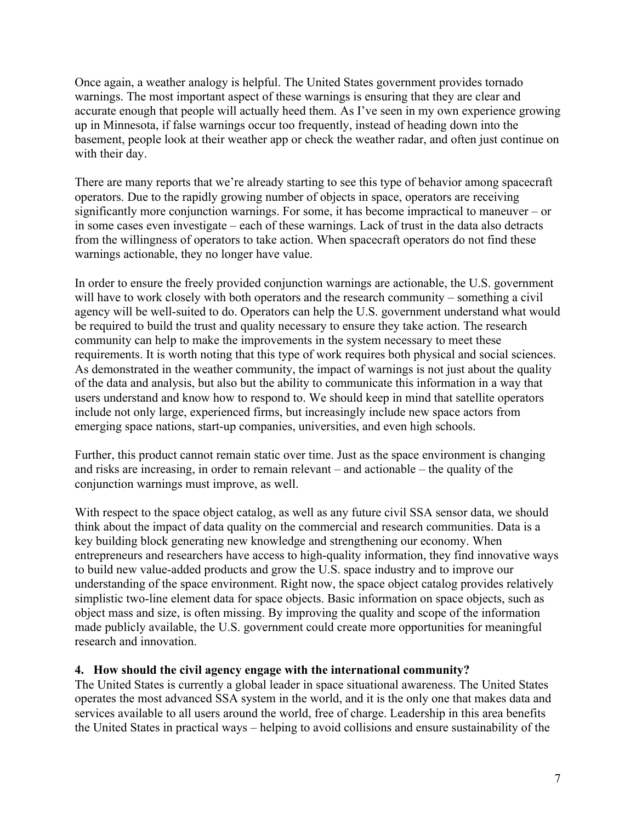Once again, a weather analogy is helpful. The United States government provides tornado warnings. The most important aspect of these warnings is ensuring that they are clear and accurate enough that people will actually heed them. As I've seen in my own experience growing up in Minnesota, if false warnings occur too frequently, instead of heading down into the basement, people look at their weather app or check the weather radar, and often just continue on with their day.

There are many reports that we're already starting to see this type of behavior among spacecraft operators. Due to the rapidly growing number of objects in space, operators are receiving significantly more conjunction warnings. For some, it has become impractical to maneuver – or in some cases even investigate – each of these warnings. Lack of trust in the data also detracts from the willingness of operators to take action. When spacecraft operators do not find these warnings actionable, they no longer have value.

In order to ensure the freely provided conjunction warnings are actionable, the U.S. government will have to work closely with both operators and the research community – something a civil agency will be well-suited to do. Operators can help the U.S. government understand what would be required to build the trust and quality necessary to ensure they take action. The research community can help to make the improvements in the system necessary to meet these requirements. It is worth noting that this type of work requires both physical and social sciences. As demonstrated in the weather community, the impact of warnings is not just about the quality of the data and analysis, but also but the ability to communicate this information in a way that users understand and know how to respond to. We should keep in mind that satellite operators include not only large, experienced firms, but increasingly include new space actors from emerging space nations, start-up companies, universities, and even high schools.

Further, this product cannot remain static over time. Just as the space environment is changing and risks are increasing, in order to remain relevant – and actionable – the quality of the conjunction warnings must improve, as well.

With respect to the space object catalog, as well as any future civil SSA sensor data, we should think about the impact of data quality on the commercial and research communities. Data is a key building block generating new knowledge and strengthening our economy. When entrepreneurs and researchers have access to high-quality information, they find innovative ways to build new value-added products and grow the U.S. space industry and to improve our understanding of the space environment. Right now, the space object catalog provides relatively simplistic two-line element data for space objects. Basic information on space objects, such as object mass and size, is often missing. By improving the quality and scope of the information made publicly available, the U.S. government could create more opportunities for meaningful research and innovation.

# **4. How should the civil agency engage with the international community?**

The United States is currently a global leader in space situational awareness. The United States operates the most advanced SSA system in the world, and it is the only one that makes data and services available to all users around the world, free of charge. Leadership in this area benefits the United States in practical ways – helping to avoid collisions and ensure sustainability of the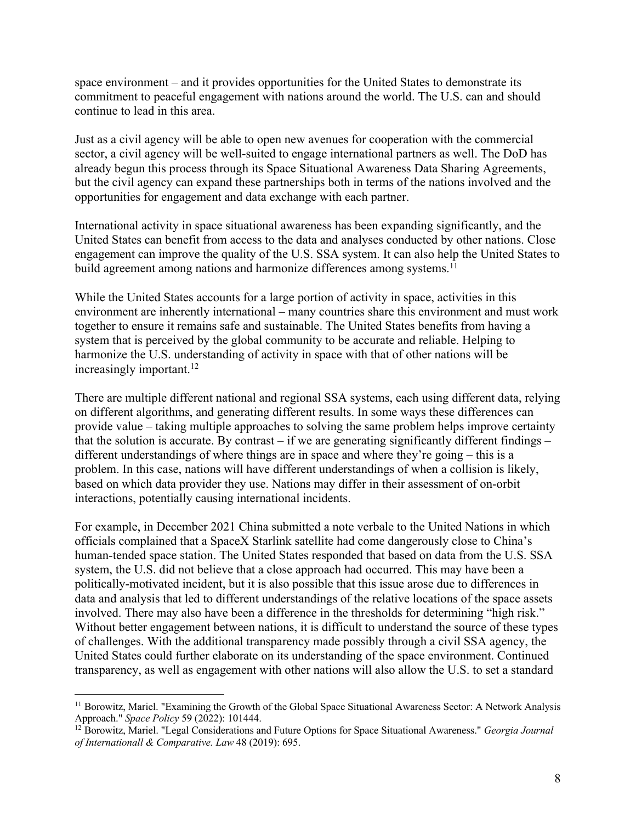space environment – and it provides opportunities for the United States to demonstrate its commitment to peaceful engagement with nations around the world. The U.S. can and should continue to lead in this area.

Just as a civil agency will be able to open new avenues for cooperation with the commercial sector, a civil agency will be well-suited to engage international partners as well. The DoD has already begun this process through its Space Situational Awareness Data Sharing Agreements, but the civil agency can expand these partnerships both in terms of the nations involved and the opportunities for engagement and data exchange with each partner.

International activity in space situational awareness has been expanding significantly, and the United States can benefit from access to the data and analyses conducted by other nations. Close engagement can improve the quality of the U.S. SSA system. It can also help the United States to build agreement among nations and harmonize differences among systems.<sup>11</sup>

While the United States accounts for a large portion of activity in space, activities in this environment are inherently international – many countries share this environment and must work together to ensure it remains safe and sustainable. The United States benefits from having a system that is perceived by the global community to be accurate and reliable. Helping to harmonize the U.S. understanding of activity in space with that of other nations will be increasingly important.<sup>12</sup>

There are multiple different national and regional SSA systems, each using different data, relying on different algorithms, and generating different results. In some ways these differences can provide value – taking multiple approaches to solving the same problem helps improve certainty that the solution is accurate. By contrast  $-$  if we are generating significantly different findings  $$ different understandings of where things are in space and where they're going – this is a problem. In this case, nations will have different understandings of when a collision is likely, based on which data provider they use. Nations may differ in their assessment of on-orbit interactions, potentially causing international incidents.

For example, in December 2021 China submitted a note verbale to the United Nations in which officials complained that a SpaceX Starlink satellite had come dangerously close to China's human-tended space station. The United States responded that based on data from the U.S. SSA system, the U.S. did not believe that a close approach had occurred. This may have been a politically-motivated incident, but it is also possible that this issue arose due to differences in data and analysis that led to different understandings of the relative locations of the space assets involved. There may also have been a difference in the thresholds for determining "high risk." Without better engagement between nations, it is difficult to understand the source of these types of challenges. With the additional transparency made possibly through a civil SSA agency, the United States could further elaborate on its understanding of the space environment. Continued transparency, as well as engagement with other nations will also allow the U.S. to set a standard

<sup>&</sup>lt;sup>11</sup> Borowitz, Mariel. "Examining the Growth of the Global Space Situational Awareness Sector: A Network Analysis Approach." *Space Policy* 59 (2022): 101444.

<sup>12</sup> Borowitz, Mariel. "Legal Considerations and Future Options for Space Situational Awareness." *Georgia Journal of Internationall & Comparative. Law* 48 (2019): 695.